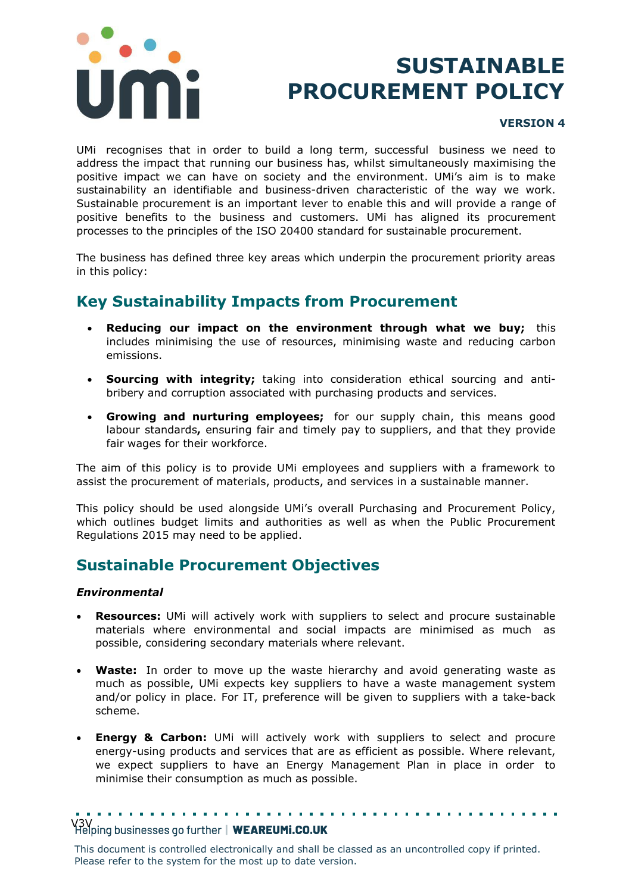

# **SUSTAINABLE PROCUREMENT POLICY**

#### **VERSION 4**

UMi recognises that in order to build a long term, successful business we need to address the impact that running our business has, whilst simultaneously maximising the positive impact we can have on society and the environment. UMi's aim is to make sustainability an identifiable and business-driven characteristic of the way we work. Sustainable procurement is an important lever to enable this and will provide a range of positive benefits to the business and customers. UMi has aligned its procurement processes to the principles of the ISO 20400 standard for sustainable procurement.

The business has defined three key areas which underpin the procurement priority areas in this policy:

## **Key Sustainability Impacts from Procurement**

- **Reducing our impact on the environment through what we buy;** this includes minimising the use of resources, minimising waste and reducing carbon emissions.
- **Sourcing with integrity;** taking into consideration ethical sourcing and antibribery and corruption associated with purchasing products and services.
- **Growing and nurturing employees;** for our supply chain, this means good labour standards**,** ensuring fair and timely pay to suppliers, and that they provide fair wages for their workforce.

The aim of this policy is to provide UMi employees and suppliers with a framework to assist the procurement of materials, products, and services in a sustainable manner.

This policy should be used alongside UMi's overall Purchasing and Procurement Policy, which outlines budget limits and authorities as well as when the Public Procurement Regulations 2015 may need to be applied.

### **Sustainable Procurement Objectives**

#### *Environmental*

- **Resources:** UMi will actively work with suppliers to select and procure sustainable materials where environmental and social impacts are minimised as much as possible, considering secondary materials where relevant.
- **Waste:** In order to move up the waste hierarchy and avoid generating waste as much as possible, UMi expects key suppliers to have a waste management system and/or policy in place. For IT, preference will be given to suppliers with a take-back scheme.
- **Energy & Carbon:** UMi will actively work with suppliers to select and procure energy-using products and services that are as efficient as possible. Where relevant, we expect suppliers to have an Energy Management Plan in place in order to minimise their consumption as much as possible.

V3V<br>Helping businesses go further | WEAREUMi.CO.UK

This document is controlled electronically and shall be classed as an uncontrolled copy if printed. Please refer to the system for the most up to date version.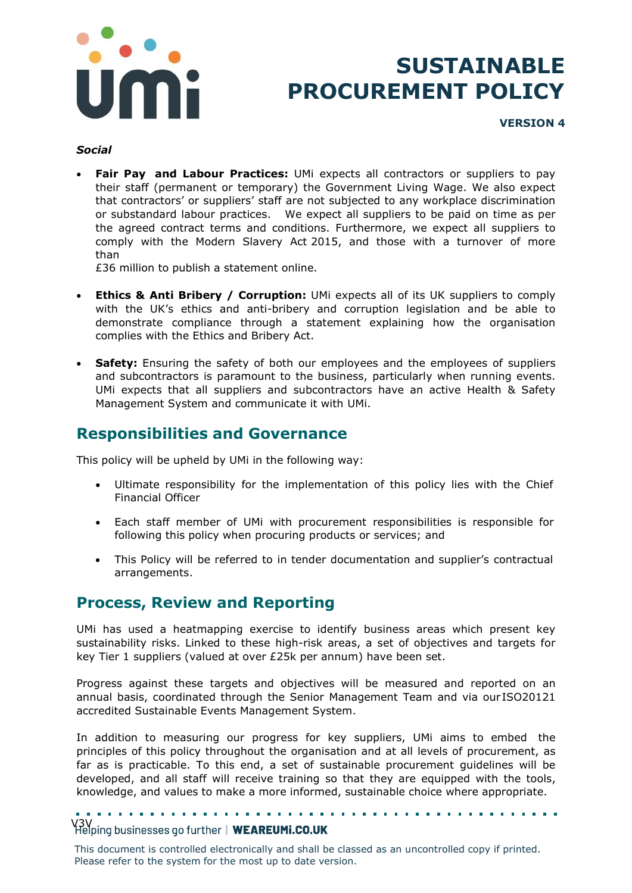

## **SUSTAINABLE PROCUREMENT POLICY**

**VERSION 4**

#### *Social*

• **Fair Pay and Labour Practices:** UMi expects all contractors or suppliers to pay their staff (permanent or temporary) the Government Living Wage. We also expect that contractors' or suppliers' staff are not subjected to any workplace discrimination or substandard labour practices. We expect all suppliers to be paid on time as per the agreed contract terms and conditions. Furthermore, we expect all suppliers to comply with the Modern Slavery Act 2015, and those with a turnover of more than

£36 million to publish a statement online.

- **Ethics & Anti Bribery / Corruption:** UMi expects all of its UK suppliers to comply with the UK's ethics and anti-bribery and corruption legislation and be able to demonstrate compliance through a statement explaining how the organisation complies with the Ethics and Bribery Act.
- **Safety:** Ensuring the safety of both our employees and the employees of suppliers and subcontractors is paramount to the business, particularly when running events. UMi expects that all suppliers and subcontractors have an active Health & Safety Management System and communicate it with UMi.

## **Responsibilities and Governance**

This policy will be upheld by UMi in the following way:

- Ultimate responsibility for the implementation of this policy lies with the Chief Financial Officer
- Each staff member of UMi with procurement responsibilities is responsible for following this policy when procuring products or services; and
- This Policy will be referred to in tender documentation and supplier's contractual arrangements.

### **Process, Review and Reporting**

UMi has used a heatmapping exercise to identify business areas which present key sustainability risks. Linked to these high-risk areas, a set of objectives and targets for key Tier 1 suppliers (valued at over £25k per annum) have been set.

Progress against these targets and objectives will be measured and reported on an annual basis, coordinated through the Senior Management Team and via our ISO20121 accredited Sustainable Events Management System.

In addition to measuring our progress for key suppliers, UMi aims to embed the principles of this policy throughout the organisation and at all levels of procurement, as far as is practicable. To this end, a set of sustainable procurement guidelines will be developed, and all staff will receive training so that they are equipped with the tools, knowledge, and values to make a more informed, sustainable choice where appropriate.

### Y3V<br>Helping businesses go further | WEAREUMi.CO.UK

This document is controlled electronically and shall be classed as an uncontrolled copy if printed. Please refer to the system for the most up to date version.